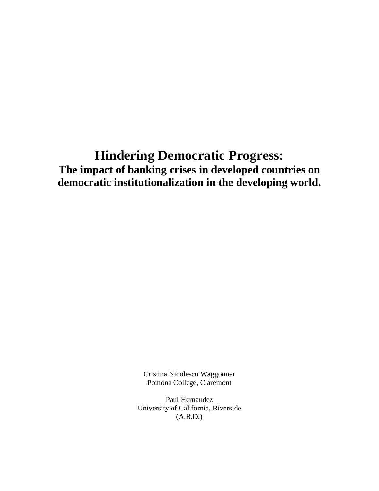# **Hindering Democratic Progress: The impact of banking crises in developed countries on democratic institutionalization in the developing world.**

Cristina Nicolescu Waggonner Pomona College, Claremont

Paul Hernandez University of California, Riverside (A.B.D.)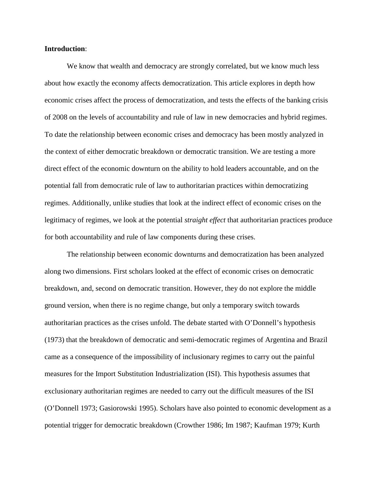#### **Introduction**:

We know that wealth and democracy are strongly correlated, but we know much less about how exactly the economy affects democratization. This article explores in depth how economic crises affect the process of democratization, and tests the effects of the banking crisis of 2008 on the levels of accountability and rule of law in new democracies and hybrid regimes. To date the relationship between economic crises and democracy has been mostly analyzed in the context of either democratic breakdown or democratic transition. We are testing a more direct effect of the economic downturn on the ability to hold leaders accountable, and on the potential fall from democratic rule of law to authoritarian practices within democratizing regimes. Additionally, unlike studies that look at the indirect effect of economic crises on the legitimacy of regimes, we look at the potential *straight effect* that authoritarian practices produce for both accountability and rule of law components during these crises.

The relationship between economic downturns and democratization has been analyzed along two dimensions. First scholars looked at the effect of economic crises on democratic breakdown, and, second on democratic transition. However, they do not explore the middle ground version, when there is no regime change, but only a temporary switch towards authoritarian practices as the crises unfold. The debate started with O'Donnell's hypothesis (1973) that the breakdown of democratic and semi-democratic regimes of Argentina and Brazil came as a consequence of the impossibility of inclusionary regimes to carry out the painful measures for the Import Substitution Industrialization (ISI). This hypothesis assumes that exclusionary authoritarian regimes are needed to carry out the difficult measures of the ISI (O'Donnell 1973; Gasiorowski 1995). Scholars have also pointed to economic development as a potential trigger for democratic breakdown (Crowther 1986; Im 1987; Kaufman 1979; Kurth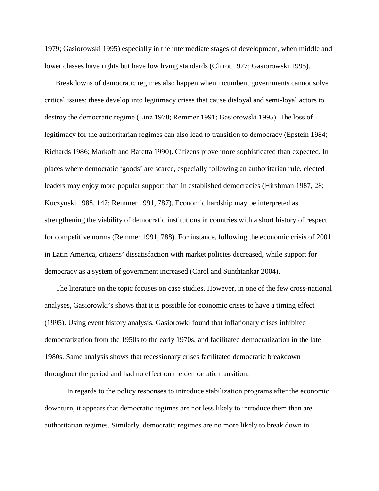1979; Gasiorowski 1995) especially in the intermediate stages of development, when middle and lower classes have rights but have low living standards (Chirot 1977; Gasiorowski 1995).

Breakdowns of democratic regimes also happen when incumbent governments cannot solve critical issues; these develop into legitimacy crises that cause disloyal and semi-loyal actors to destroy the democratic regime (Linz 1978; Remmer 1991; Gasiorowski 1995). The loss of legitimacy for the authoritarian regimes can also lead to transition to democracy (Epstein 1984; Richards 1986; Markoff and Baretta 1990). Citizens prove more sophisticated than expected. In places where democratic 'goods' are scarce, especially following an authoritarian rule, elected leaders may enjoy more popular support than in established democracies (Hirshman 1987, 28; Kuczynski 1988, 147; Remmer 1991, 787). Economic hardship may be interpreted as strengthening the viability of democratic institutions in countries with a short history of respect for competitive norms (Remmer 1991, 788). For instance, following the economic crisis of 2001 in Latin America, citizens' dissatisfaction with market policies decreased, while support for democracy as a system of government increased (Carol and Sunthtankar 2004).

The literature on the topic focuses on case studies. However, in one of the few cross-national analyses, Gasiorowki's shows that it is possible for economic crises to have a timing effect (1995). Using event history analysis, Gasiorowki found that inflationary crises inhibited democratization from the 1950s to the early 1970s, and facilitated democratization in the late 1980s. Same analysis shows that recessionary crises facilitated democratic breakdown throughout the period and had no effect on the democratic transition.

In regards to the policy responses to introduce stabilization programs after the economic downturn, it appears that democratic regimes are not less likely to introduce them than are authoritarian regimes. Similarly, democratic regimes are no more likely to break down in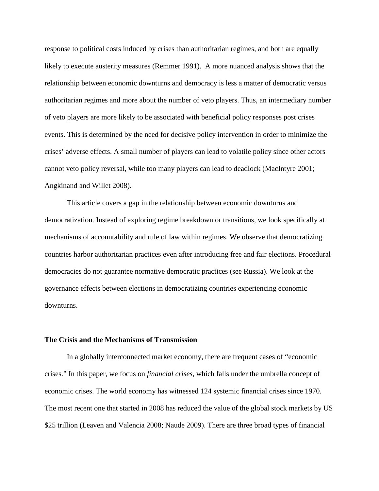response to political costs induced by crises than authoritarian regimes, and both are equally likely to execute austerity measures (Remmer 1991). A more nuanced analysis shows that the relationship between economic downturns and democracy is less a matter of democratic versus authoritarian regimes and more about the number of veto players. Thus, an intermediary number of veto players are more likely to be associated with beneficial policy responses post crises events. This is determined by the need for decisive policy intervention in order to minimize the crises' adverse effects. A small number of players can lead to volatile policy since other actors cannot veto policy reversal, while too many players can lead to deadlock (MacIntyre 2001; Angkinand and Willet 2008).

This article covers a gap in the relationship between economic downturns and democratization. Instead of exploring regime breakdown or transitions, we look specifically at mechanisms of accountability and rule of law within regimes. We observe that democratizing countries harbor authoritarian practices even after introducing free and fair elections. Procedural democracies do not guarantee normative democratic practices (see Russia). We look at the governance effects between elections in democratizing countries experiencing economic downturns.

#### **The Crisis and the Mechanisms of Transmission**

In a globally interconnected market economy, there are frequent cases of "economic crises." In this paper, we focus on *financial crises*, which falls under the umbrella concept of economic crises. The world economy has witnessed 124 systemic financial crises since 1970. The most recent one that started in 2008 has reduced the value of the global stock markets by US \$25 trillion (Leaven and Valencia 2008; Naude 2009). There are three broad types of financial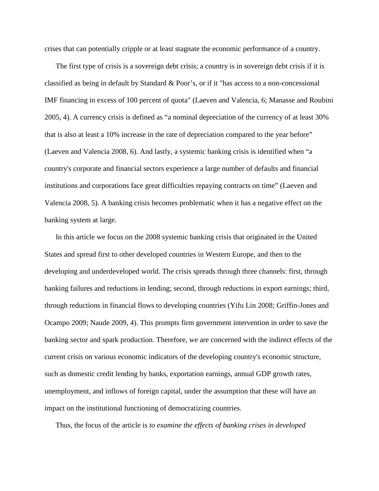crises that can potentially cripple or at least stagnate the economic performance of a country.

The first type of crisis is a sovereign debt crisis; a country is in sovereign debt crisis if it is classified as being in default by Standard  $\&$  Poor's, or if it "has access to a non-concessional IMF financing in excess of 100 percent of quota" (Laeven and Valencia, 6; Manasse and Roubini 2005, 4). A currency crisis is defined as "a nominal depreciation of the currency of at least 30% that is also at least a 10% increase in the rate of depreciation compared to the year before" (Laeven and Valencia 2008, 6). And lastly, a systemic banking crisis is identified when "a country's corporate and financial sectors experience a large number of defaults and financial institutions and corporations face great difficulties repaying contracts on time" (Laeven and Valencia 2008, 5). A banking crisis becomes problematic when it has a negative effect on the banking system at large.

In this article we focus on the 2008 systemic banking crisis that originated in the United States and spread first to other developed countries in Western Europe, and then to the developing and underdeveloped world. The crisis spreads through three channels: first, through banking failures and reductions in lending; second, through reductions in export earnings; third, through reductions in financial flows to developing countries (Yifu Lin 2008; Griffin-Jones and Ocampo 2009; Naude 2009, 4). This prompts firm government intervention in order to save the banking sector and spark production. Therefore, we are concerned with the indirect effects of the current crisis on various economic indicators of the developing country's economic structure, such as domestic credit lending by banks, exportation earnings, annual GDP growth rates, unemployment, and inflows of foreign capital, under the assumption that these will have an impact on the institutional functioning of democratizing countries.

Thus, the focus of the article is *to examine the effects of banking crises in developed*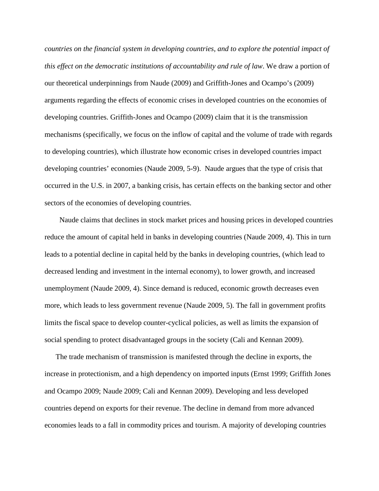*countries on the financial system in developing countries, and to explore the potential impact of this effect on the democratic institutions of accountability and rule of law*. We draw a portion of our theoretical underpinnings from Naude (2009) and Griffith-Jones and Ocampo's (2009) arguments regarding the effects of economic crises in developed countries on the economies of developing countries. Griffith-Jones and Ocampo (2009) claim that it is the transmission mechanisms (specifically, we focus on the inflow of capital and the volume of trade with regards to developing countries), which illustrate how economic crises in developed countries impact developing countries' economies (Naude 2009, 5-9). Naude argues that the type of crisis that occurred in the U.S. in 2007, a banking crisis, has certain effects on the banking sector and other sectors of the economies of developing countries.

 Naude claims that declines in stock market prices and housing prices in developed countries reduce the amount of capital held in banks in developing countries (Naude 2009, 4). This in turn leads to a potential decline in capital held by the banks in developing countries, (which lead to decreased lending and investment in the internal economy), to lower growth, and increased unemployment (Naude 2009, 4). Since demand is reduced, economic growth decreases even more, which leads to less government revenue (Naude 2009, 5). The fall in government profits limits the fiscal space to develop counter-cyclical policies, as well as limits the expansion of social spending to protect disadvantaged groups in the society (Cali and Kennan 2009).

The trade mechanism of transmission is manifested through the decline in exports, the increase in protectionism, and a high dependency on imported inputs (Ernst 1999; Griffith Jones and Ocampo 2009; Naude 2009; Cali and Kennan 2009). Developing and less developed countries depend on exports for their revenue. The decline in demand from more advanced economies leads to a fall in commodity prices and tourism. A majority of developing countries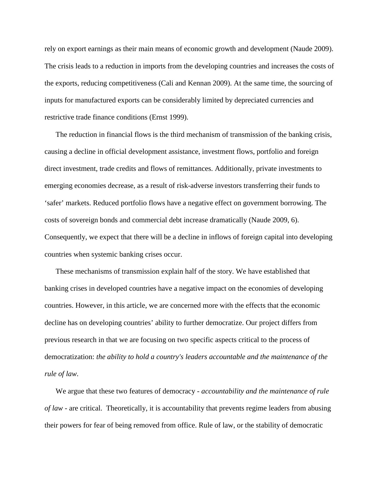rely on export earnings as their main means of economic growth and development (Naude 2009). The crisis leads to a reduction in imports from the developing countries and increases the costs of the exports, reducing competitiveness (Cali and Kennan 2009). At the same time, the sourcing of inputs for manufactured exports can be considerably limited by depreciated currencies and restrictive trade finance conditions (Ernst 1999).

The reduction in financial flows is the third mechanism of transmission of the banking crisis, causing a decline in official development assistance, investment flows, portfolio and foreign direct investment, trade credits and flows of remittances. Additionally, private investments to emerging economies decrease, as a result of risk-adverse investors transferring their funds to 'safer' markets. Reduced portfolio flows have a negative effect on government borrowing. The costs of sovereign bonds and commercial debt increase dramatically (Naude 2009, 6). Consequently, we expect that there will be a decline in inflows of foreign capital into developing countries when systemic banking crises occur.

These mechanisms of transmission explain half of the story. We have established that banking crises in developed countries have a negative impact on the economies of developing countries. However, in this article, we are concerned more with the effects that the economic decline has on developing countries' ability to further democratize. Our project differs from previous research in that we are focusing on two specific aspects critical to the process of democratization: *the ability to hold a country's leaders accountable and the maintenance of the rule of law*.

We argue that these two features of democracy - *accountability and the maintenance of rule of law* - are critical. Theoretically, it is accountability that prevents regime leaders from abusing their powers for fear of being removed from office. Rule of law, or the stability of democratic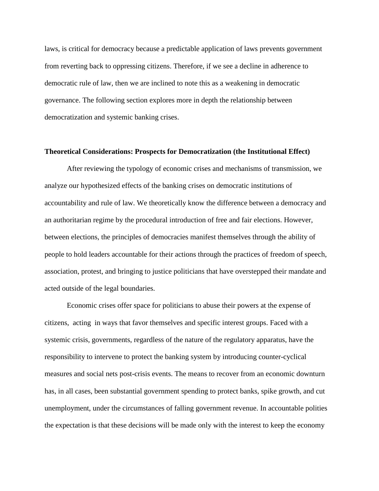laws, is critical for democracy because a predictable application of laws prevents government from reverting back to oppressing citizens. Therefore, if we see a decline in adherence to democratic rule of law, then we are inclined to note this as a weakening in democratic governance. The following section explores more in depth the relationship between democratization and systemic banking crises.

#### **Theoretical Considerations: Prospects for Democratization (the Institutional Effect)**

After reviewing the typology of economic crises and mechanisms of transmission, we analyze our hypothesized effects of the banking crises on democratic institutions of accountability and rule of law. We theoretically know the difference between a democracy and an authoritarian regime by the procedural introduction of free and fair elections. However, between elections, the principles of democracies manifest themselves through the ability of people to hold leaders accountable for their actions through the practices of freedom of speech, association, protest, and bringing to justice politicians that have overstepped their mandate and acted outside of the legal boundaries.

Economic crises offer space for politicians to abuse their powers at the expense of citizens, acting in ways that favor themselves and specific interest groups. Faced with a systemic crisis, governments, regardless of the nature of the regulatory apparatus, have the responsibility to intervene to protect the banking system by introducing counter-cyclical measures and social nets post-crisis events. The means to recover from an economic downturn has, in all cases, been substantial government spending to protect banks, spike growth, and cut unemployment, under the circumstances of falling government revenue. In accountable polities the expectation is that these decisions will be made only with the interest to keep the economy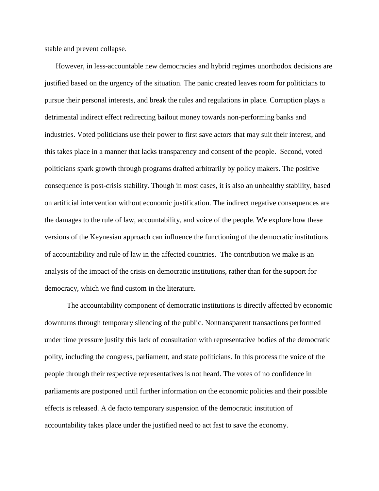stable and prevent collapse.

However, in less-accountable new democracies and hybrid regimes unorthodox decisions are justified based on the urgency of the situation. The panic created leaves room for politicians to pursue their personal interests, and break the rules and regulations in place. Corruption plays a detrimental indirect effect redirecting bailout money towards non-performing banks and industries. Voted politicians use their power to first save actors that may suit their interest, and this takes place in a manner that lacks transparency and consent of the people. Second, voted politicians spark growth through programs drafted arbitrarily by policy makers. The positive consequence is post-crisis stability. Though in most cases, it is also an unhealthy stability, based on artificial intervention without economic justification. The indirect negative consequences are the damages to the rule of law, accountability, and voice of the people. We explore how these versions of the Keynesian approach can influence the functioning of the democratic institutions of accountability and rule of law in the affected countries. The contribution we make is an analysis of the impact of the crisis on democratic institutions, rather than for the support for democracy, which we find custom in the literature.

The accountability component of democratic institutions is directly affected by economic downturns through temporary silencing of the public. Nontransparent transactions performed under time pressure justify this lack of consultation with representative bodies of the democratic polity, including the congress, parliament, and state politicians. In this process the voice of the people through their respective representatives is not heard. The votes of no confidence in parliaments are postponed until further information on the economic policies and their possible effects is released. A de facto temporary suspension of the democratic institution of accountability takes place under the justified need to act fast to save the economy.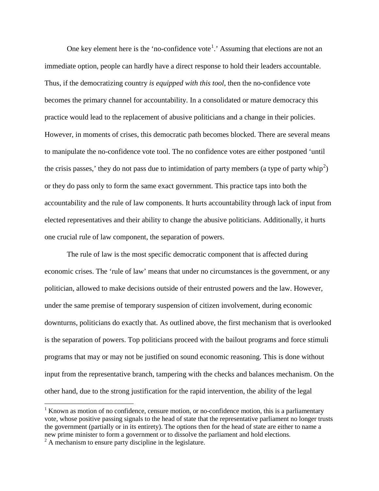One key element here is the 'no-confidence vote<sup>[1](#page-9-0)</sup>.' Assuming that elections are not an immediate option, people can hardly have a direct response to hold their leaders accountable. Thus, if the democratizing country *is equipped with this tool*, then the no-confidence vote becomes the primary channel for accountability. In a consolidated or mature democracy this practice would lead to the replacement of abusive politicians and a change in their policies. However, in moments of crises, this democratic path becomes blocked. There are several means to manipulate the no-confidence vote tool. The no confidence votes are either postponed 'until the crisis passes,' they do not pass due to intimidation of party members (a type of party whip<sup>[2](#page-9-1)</sup>) or they do pass only to form the same exact government. This practice taps into both the accountability and the rule of law components. It hurts accountability through lack of input from elected representatives and their ability to change the abusive politicians. Additionally, it hurts one crucial rule of law component, the separation of powers.

The rule of law is the most specific democratic component that is affected during economic crises. The 'rule of law' means that under no circumstances is the government, or any politician, allowed to make decisions outside of their entrusted powers and the law. However, under the same premise of temporary suspension of citizen involvement, during economic downturns, politicians do exactly that. As outlined above, the first mechanism that is overlooked is the separation of powers. Top politicians proceed with the bailout programs and force stimuli programs that may or may not be justified on sound economic reasoning. This is done without input from the representative branch, tampering with the checks and balances mechanism. On the other hand, due to the strong justification for the rapid intervention, the ability of the legal

<span id="page-9-0"></span> $1$  Known as motion of no confidence, censure motion, or no-confidence motion, this is a parliamentary vote, whose positive passing signals to the head of state that the representative parliament no longer trusts the government (partially or in its entirety). The options then for the head of state are either to name a new prime minister to form a government or to dissolve the parliament and hold elections.

<span id="page-9-1"></span> $2 \text{ A mechanism to ensure party discipline in the legislature.}$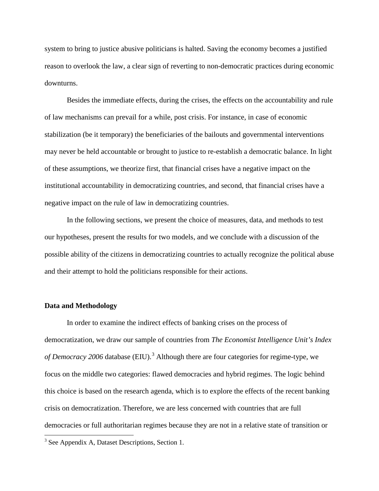system to bring to justice abusive politicians is halted. Saving the economy becomes a justified reason to overlook the law, a clear sign of reverting to non-democratic practices during economic downturns.

Besides the immediate effects, during the crises, the effects on the accountability and rule of law mechanisms can prevail for a while, post crisis. For instance, in case of economic stabilization (be it temporary) the beneficiaries of the bailouts and governmental interventions may never be held accountable or brought to justice to re-establish a democratic balance. In light of these assumptions, we theorize first, that financial crises have a negative impact on the institutional accountability in democratizing countries, and second, that financial crises have a negative impact on the rule of law in democratizing countries.

In the following sections, we present the choice of measures, data, and methods to test our hypotheses, present the results for two models, and we conclude with a discussion of the possible ability of the citizens in democratizing countries to actually recognize the political abuse and their attempt to hold the politicians responsible for their actions.

### **Data and Methodology**

In order to examine the indirect effects of banking crises on the process of democratization, we draw our sample of countries from *The Economist Intelligence Unit's Index*  of Democracy 2006 database (EIU).<sup>[3](#page-10-0)</sup> Although there are four categories for regime-type, we focus on the middle two categories: flawed democracies and hybrid regimes. The logic behind this choice is based on the research agenda, which is to explore the effects of the recent banking crisis on democratization. Therefore, we are less concerned with countries that are full democracies or full authoritarian regimes because they are not in a relative state of transition or

<span id="page-10-0"></span><sup>&</sup>lt;sup>3</sup> See Appendix A, Dataset Descriptions, Section 1.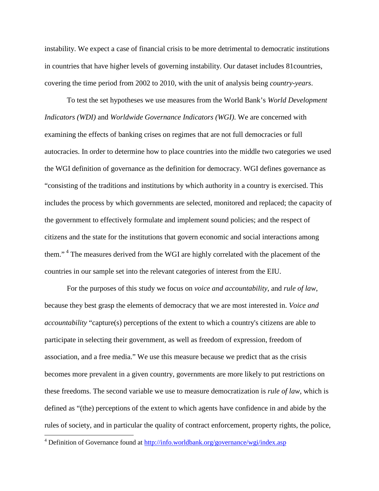instability. We expect a case of financial crisis to be more detrimental to democratic institutions in countries that have higher levels of governing instability. Our dataset includes 81countries, covering the time period from 2002 to 2010, with the unit of analysis being *country-years*.

To test the set hypotheses we use measures from the World Bank's *World Development Indicators (WDI)* and *Worldwide Governance Indicators (WGI)*. We are concerned with examining the effects of banking crises on regimes that are not full democracies or full autocracies. In order to determine how to place countries into the middle two categories we used the WGI definition of governance as the definition for democracy. WGI defines governance as "consisting of the traditions and institutions by which authority in a country is exercised. This includes the process by which governments are selected, monitored and replaced; the capacity of the government to effectively formulate and implement sound policies; and the respect of citizens and the state for the institutions that govern economic and social interactions among them."<sup>[4](#page-11-0)</sup> The measures derived from the WGI are highly correlated with the placement of the countries in our sample set into the relevant categories of interest from the EIU.

For the purposes of this study we focus on *voice and accountability*, and *rule of law*, because they best grasp the elements of democracy that we are most interested in. *Voice and accountability* "capture(s) perceptions of the extent to which a country's citizens are able to participate in selecting their government, as well as freedom of expression, freedom of association, and a free media." We use this measure because we predict that as the crisis becomes more prevalent in a given country, governments are more likely to put restrictions on these freedoms. The second variable we use to measure democratization is *rule of law*, which is defined as "(the) perceptions of the extent to which agents have confidence in and abide by the rules of society, and in particular the quality of contract enforcement, property rights, the police,

<span id="page-11-0"></span><sup>&</sup>lt;sup>4</sup> Definition of Governance found at<http://info.worldbank.org/governance/wgi/index.asp>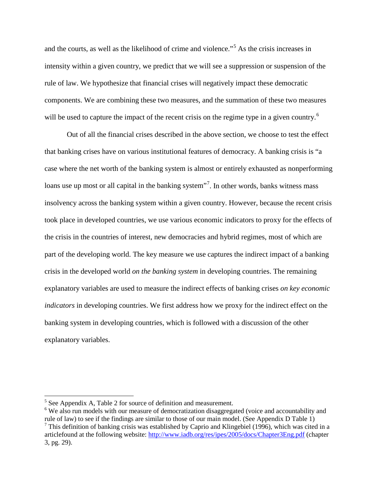and the courts, as well as the likelihood of crime and violence."<sup>[5](#page-12-0)</sup> As the crisis increases in intensity within a given country, we predict that we will see a suppression or suspension of the rule of law. We hypothesize that financial crises will negatively impact these democratic components. We are combining these two measures, and the summation of these two measures will be used to capture the impact of the recent crisis on the regime type in a given country.<sup>[6](#page-12-1)</sup>

Out of all the financial crises described in the above section, we choose to test the effect that banking crises have on various institutional features of democracy. A banking crisis is "a case where the net worth of the banking system is almost or entirely exhausted as nonperforming loans use up most or all capital in the banking system"<sup>[7](#page-12-2)</sup>. In other words, banks witness mass insolvency across the banking system within a given country. However, because the recent crisis took place in developed countries, we use various economic indicators to proxy for the effects of the crisis in the countries of interest, new democracies and hybrid regimes, most of which are part of the developing world. The key measure we use captures the indirect impact of a banking crisis in the developed world *on the banking system* in developing countries. The remaining explanatory variables are used to measure the indirect effects of banking crises *on key economic indicators* in developing countries. We first address how we proxy for the indirect effect on the banking system in developing countries, which is followed with a discussion of the other explanatory variables.

<span id="page-12-2"></span><span id="page-12-1"></span><span id="page-12-0"></span>

<sup>&</sup>lt;sup>5</sup> See Appendix A, Table 2 for source of definition and measurement.<br><sup>6</sup> We also run models with our measure of democratization disaggregated (voice and accountability and rule of law) to see if the findings are similar to those of our main model. (See Appendix D Table 1) <sup>7</sup> This definition of banking crisis was established by Caprio and Klingebiel (1996), which was cited in a articlefound at the following website:<http://www.iadb.org/res/ipes/2005/docs/Chapter3Eng.pdf> (chapter 3, pg. 29).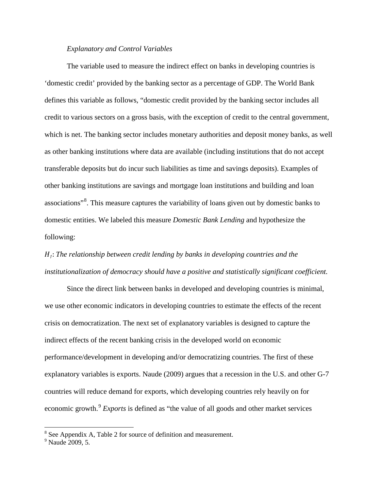## *Explanatory and Control Variables*

The variable used to measure the indirect effect on banks in developing countries is 'domestic credit' provided by the banking sector as a percentage of GDP. The World Bank defines this variable as follows, "domestic credit provided by the banking sector includes all credit to various sectors on a gross basis, with the exception of credit to the central government, which is net. The banking sector includes monetary authorities and deposit money banks, as well as other banking institutions where data are available (including institutions that do not accept transferable deposits but do incur such liabilities as time and savings deposits). Examples of other banking institutions are savings and mortgage loan institutions and building and loan associations"<sup>[8](#page-13-0)</sup>. This measure captures the variability of loans given out by domestic banks to domestic entities. We labeled this measure *Domestic Bank Lending* and hypothesize the following:

# *1*: *The relationship between credit lending by banks in developing countries and the institutionalization of democracy should have a positive and statistically significant coefficient.*

Since the direct link between banks in developed and developing countries is minimal, we use other economic indicators in developing countries to estimate the effects of the recent crisis on democratization. The next set of explanatory variables is designed to capture the indirect effects of the recent banking crisis in the developed world on economic performance/development in developing and/or democratizing countries. The first of these explanatory variables is exports. Naude (2009) argues that a recession in the U.S. and other G-7 countries will reduce demand for exports, which developing countries rely heavily on for economic growth.<sup>[9](#page-13-1)</sup> *Exports* is defined as "the value of all goods and other market services

<span id="page-13-0"></span><sup>8</sup> See Appendix A, Table 2 for source of definition and measurement.

<span id="page-13-1"></span><sup>&</sup>lt;sup>9</sup> Naude 2009, 5.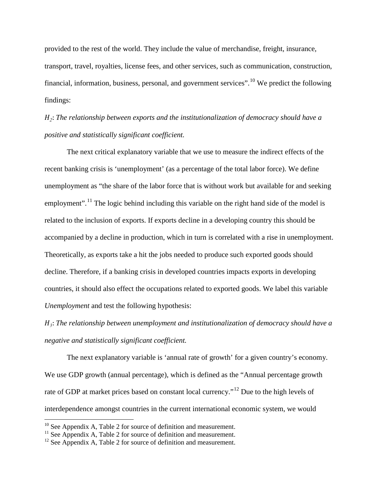provided to the rest of the world. They include the value of merchandise, freight, insurance, transport, travel, royalties, license fees, and other services, such as communication, construction, financial, information, business, personal, and government services". <sup>[10](#page-14-0)</sup> We predict the following findings:

*2*: *The relationship between exports and the institutionalization of democracy should have a positive and statistically significant coefficient.*

The next critical explanatory variable that we use to measure the indirect effects of the recent banking crisis is 'unemployment' (as a percentage of the total labor force). We define unemployment as "the share of the labor force that is without work but available for and seeking employment".<sup>[11](#page-14-1)</sup> The logic behind including this variable on the right hand side of the model is related to the inclusion of exports. If exports decline in a developing country this should be accompanied by a decline in production, which in turn is correlated with a rise in unemployment. Theoretically, as exports take a hit the jobs needed to produce such exported goods should decline. Therefore, if a banking crisis in developed countries impacts exports in developing countries, it should also effect the occupations related to exported goods. We label this variable *Unemployment* and test the following hypothesis:

*3*: *The relationship between unemployment and institutionalization of democracy should have a negative and statistically significant coefficient.* 

The next explanatory variable is 'annual rate of growth' for a given country's economy. We use GDP growth (annual percentage), which is defined as the "Annual percentage growth rate of GDP at market prices based on constant local currency."<sup>[12](#page-14-2)</sup> Due to the high levels of interdependence amongst countries in the current international economic system, we would

<span id="page-14-0"></span><sup>&</sup>lt;sup>10</sup> See Appendix A, Table 2 for source of definition and measurement.

<span id="page-14-1"></span> $11$  See Appendix A, Table 2 for source of definition and measurement.

<span id="page-14-2"></span> $12$  See Appendix A, Table 2 for source of definition and measurement.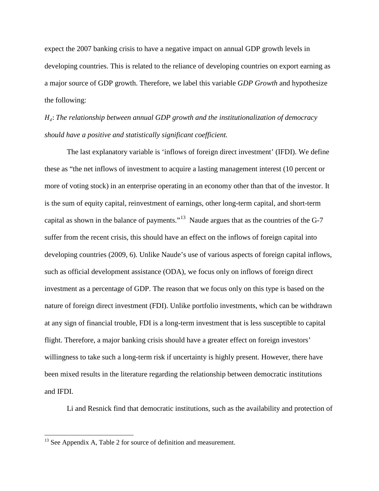expect the 2007 banking crisis to have a negative impact on annual GDP growth levels in developing countries. This is related to the reliance of developing countries on export earning as a major source of GDP growth. Therefore, we label this variable *GDP Growth* and hypothesize the following:

*4*: *The relationship between annual GDP growth and the institutionalization of democracy should have a positive and statistically significant coefficient.* 

The last explanatory variable is 'inflows of foreign direct investment' (IFDI). We define these as "the net inflows of investment to acquire a lasting management interest (10 percent or more of voting stock) in an enterprise operating in an economy other than that of the investor. It is the sum of equity capital, reinvestment of earnings, other long-term capital, and short-term capital as shown in the balance of payments."<sup>[13](#page-15-0)</sup> Naude argues that as the countries of the G-7 suffer from the recent crisis, this should have an effect on the inflows of foreign capital into developing countries (2009, 6). Unlike Naude's use of various aspects of foreign capital inflows, such as official development assistance (ODA), we focus only on inflows of foreign direct investment as a percentage of GDP. The reason that we focus only on this type is based on the nature of foreign direct investment (FDI). Unlike portfolio investments, which can be withdrawn at any sign of financial trouble, FDI is a long-term investment that is less susceptible to capital flight. Therefore, a major banking crisis should have a greater effect on foreign investors' willingness to take such a long-term risk if uncertainty is highly present. However, there have been mixed results in the literature regarding the relationship between democratic institutions and IFDI.

Li and Resnick find that democratic institutions, such as the availability and protection of

<span id="page-15-0"></span><sup>&</sup>lt;sup>13</sup> See Appendix A, Table 2 for source of definition and measurement.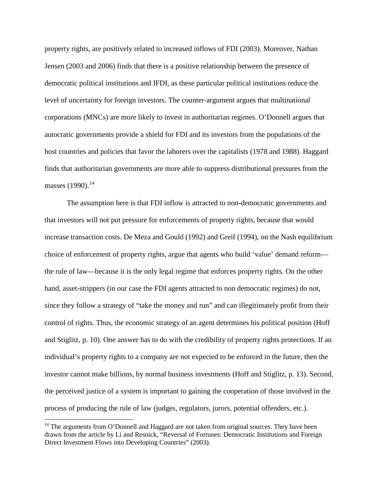property rights, are positively related to increased inflows of FDI (2003). Moreover, Nathan Jensen (2003 and 2006) finds that there is a positive relationship between the presence of democratic political institutions and IFDI, as these particular political institutions reduce the level of uncertainty for foreign investors. The counter-argument argues that multinational corporations (MNCs) are more likely to invest in authoritarian regimes. O'Donnell argues that autocratic governments provide a shield for FDI and its investors from the populations of the host countries and policies that favor the laborers over the capitalists (1978 and 1988). Haggard finds that authoritarian governments are more able to suppress distributional pressures from the masses  $(1990).^{14}$  $(1990).^{14}$  $(1990).^{14}$ 

The assumption here is that FDI inflow is attracted to non-democratic governments and that investors will not put pressure for enforcements of property rights, because that would increase transaction costs. De Meza and Gould (1992) and Greif (1994), on the Nash equilibrium choice of enforcement of property rights, argue that agents who build 'value' demand reform the rule of law—because it is the only legal regime that enforces property rights. On the other hand, asset-strippers (in our case the FDI agents attracted to non democratic regimes) do not, since they follow a strategy of "take the money and run" and can illegitimately profit from their control of rights*.* Thus, the economic strategy of an agent determines his political position (Hoff and Stiglitz, p. 10). One answer has to do with the credibility of property rights protections. If an individual's property rights to a company are not expected to be enforced in the future, then the investor cannot make billions, by normal business investments (Hoff and Stiglitz, p. 13). Second, the perceived justice of a system is important to gaining the cooperation of those involved in the process of producing the rule of law (judges, regulators, jurors, potential offenders, etc.).

<span id="page-16-0"></span><sup>&</sup>lt;sup>14</sup> The arguments from O'Donnell and Haggard are not taken from original sources. They have been drawn from the article by Li and Resnick, "Reversal of Fortunes: Democratic Institutions and Foreign Direct Investment Flows into Developing Countries" (2003).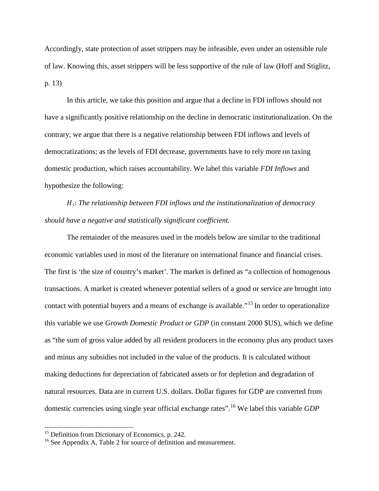Accordingly, state protection of asset strippers may be infeasible, even under an ostensible rule of law. Knowing this, asset strippers will be less supportive of the rule of law (Hoff and Stiglitz, p. 13)

In this article, we take this position and argue that a decline in FDI inflows should not have a significantly positive relationship on the decline in democratic institutionalization. On the contrary, we argue that there is a negative relationship between FDI inflows and levels of democratizations; as the levels of FDI decrease, governments have to rely more on taxing domestic production, which raises accountability. We label this variable *FDI Inflows* and hypothesize the following:

*5*: *The relationship between FDI inflows and the institutionalization of democracy should have a negative and statistically significant coefficient.* 

The remainder of the measures used in the models below are similar to the traditional economic variables used in most of the literature on international finance and financial crises. The first is 'the size of country's market'. The market is defined as "a collection of homogenous transactions. A market is created whenever potential sellers of a good or service are brought into contact with potential buyers and a means of exchange is available."<sup>[15](#page-17-0)</sup> In order to operationalize this variable we use *Growth Domestic Product or GDP* (in constant 2000 \$US), which we define as "the sum of gross value added by all resident producers in the economy plus any product taxes and minus any subsidies not included in the value of the products. It is calculated without making deductions for depreciation of fabricated assets or for depletion and degradation of natural resources. Data are in current U.S. dollars. Dollar figures for GDP are converted from domestic currencies using single year official exchange rates".[16](#page-17-1) We label this variable *GDP* 

<span id="page-17-0"></span><sup>&</sup>lt;sup>15</sup> Definition from Dictionary of Economics, p. 242.

<span id="page-17-1"></span> $16$  See Appendix A, Table 2 for source of definition and measurement.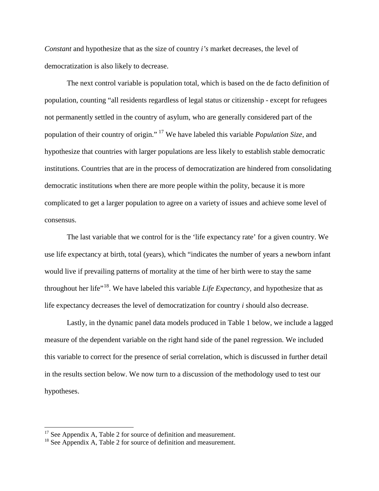*Constant* and hypothesize that as the size of country *i's* market decreases, the level of democratization is also likely to decrease.

The next control variable is population total, which is based on the de facto definition of population, counting "all residents regardless of legal status or citizenship - except for refugees not permanently settled in the country of asylum, who are generally considered part of the population of their country of origin." [17](#page-18-0) We have labeled this variable *Population Size*, and hypothesize that countries with larger populations are less likely to establish stable democratic institutions. Countries that are in the process of democratization are hindered from consolidating democratic institutions when there are more people within the polity, because it is more complicated to get a larger population to agree on a variety of issues and achieve some level of consensus.

The last variable that we control for is the 'life expectancy rate' for a given country. We use life expectancy at birth, total (years), which "indicates the number of years a newborn infant would live if prevailing patterns of mortality at the time of her birth were to stay the same throughout her life<sup>", [18](#page-18-1)</sup>. We have labeled this variable *Life Expectancy*, and hypothesize that as life expectancy decreases the level of democratization for country *i* should also decrease.

Lastly, in the dynamic panel data models produced in Table 1 below, we include a lagged measure of the dependent variable on the right hand side of the panel regression. We included this variable to correct for the presence of serial correlation, which is discussed in further detail in the results section below. We now turn to a discussion of the methodology used to test our hypotheses.

<span id="page-18-0"></span><sup>&</sup>lt;sup>17</sup> See Appendix A, Table 2 for source of definition and measurement.

<span id="page-18-1"></span> $18$  See Appendix A, Table 2 for source of definition and measurement.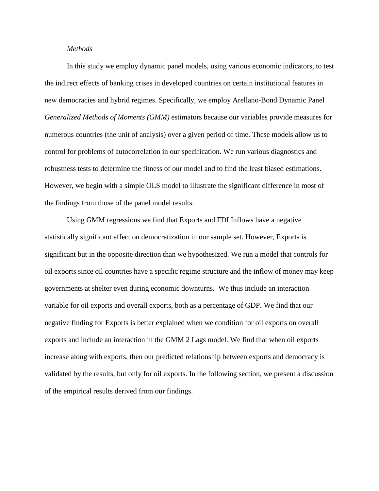### *Methods*

In this study we employ dynamic panel models, using various economic indicators, to test the indirect effects of banking crises in developed countries on certain institutional features in new democracies and hybrid regimes. Specifically, we employ Arellano-Bond Dynamic Panel *Generalized Methods of Moments (GMM)* estimators because our variables provide measures for numerous countries (the unit of analysis) over a given period of time. These models allow us to control for problems of autocorrelation in our specification. We run various diagnostics and robustness tests to determine the fitness of our model and to find the least biased estimations. However, we begin with a simple OLS model to illustrate the significant difference in most of the findings from those of the panel model results.

Using GMM regressions we find that Exports and FDI Inflows have a negative statistically significant effect on democratization in our sample set. However, Exports is significant but in the opposite direction than we hypothesized. We run a model that controls for oil exports since oil countries have a specific regime structure and the inflow of money may keep governments at shelter even during economic downturns. We thus include an interaction variable for oil exports and overall exports, both as a percentage of GDP. We find that our negative finding for Exports is better explained when we condition for oil exports on overall exports and include an interaction in the GMM 2 Lags model. We find that when oil exports increase along with exports, then our predicted relationship between exports and democracy is validated by the results, but only for oil exports. In the following section, we present a discussion of the empirical results derived from our findings.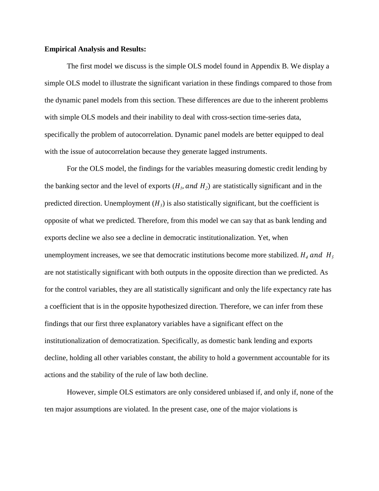### **Empirical Analysis and Results:**

The first model we discuss is the simple OLS model found in Appendix B. We display a simple OLS model to illustrate the significant variation in these findings compared to those from the dynamic panel models from this section. These differences are due to the inherent problems with simple OLS models and their inability to deal with cross-section time-series data, specifically the problem of autocorrelation. Dynamic panel models are better equipped to deal with the issue of autocorrelation because they generate lagged instruments.

For the OLS model, the findings for the variables measuring domestic credit lending by the banking sector and the level of exports  $(H_1, and H_2)$  are statistically significant and in the predicted direction. Unemployment  $(H_3)$  is also statistically significant, but the coefficient is opposite of what we predicted. Therefore, from this model we can say that as bank lending and exports decline we also see a decline in democratic institutionalization. Yet, when unemployment increases, we see that democratic institutions become more stabilized.  $H_4$  and  $H_5$ are not statistically significant with both outputs in the opposite direction than we predicted. As for the control variables, they are all statistically significant and only the life expectancy rate has a coefficient that is in the opposite hypothesized direction. Therefore, we can infer from these findings that our first three explanatory variables have a significant effect on the institutionalization of democratization. Specifically, as domestic bank lending and exports decline, holding all other variables constant, the ability to hold a government accountable for its actions and the stability of the rule of law both decline.

However, simple OLS estimators are only considered unbiased if, and only if, none of the ten major assumptions are violated. In the present case, one of the major violations is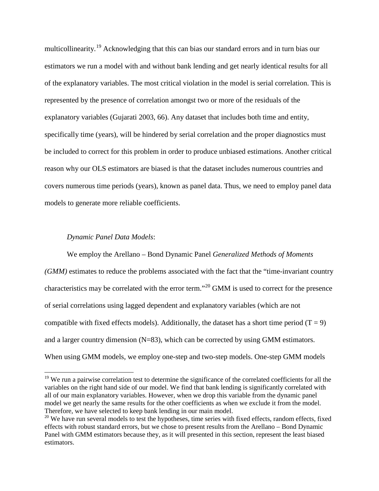multicollinearity.<sup>[19](#page-21-0)</sup> Acknowledging that this can bias our standard errors and in turn bias our estimators we run a model with and without bank lending and get nearly identical results for all of the explanatory variables. The most critical violation in the model is serial correlation. This is represented by the presence of correlation amongst two or more of the residuals of the explanatory variables (Gujarati 2003, 66). Any dataset that includes both time and entity, specifically time (years), will be hindered by serial correlation and the proper diagnostics must be included to correct for this problem in order to produce unbiased estimations. Another critical reason why our OLS estimators are biased is that the dataset includes numerous countries and covers numerous time periods (years), known as panel data. Thus, we need to employ panel data models to generate more reliable coefficients.

## *Dynamic Panel Data Models*:

We employ the Arellano – Bond Dynamic Panel *Generalized Methods of Moments (GMM)* estimates to reduce the problems associated with the fact that the "time-invariant country characteristics may be correlated with the error term."<sup>[20](#page-21-1)</sup> GMM is used to correct for the presence of serial correlations using lagged dependent and explanatory variables (which are not compatible with fixed effects models). Additionally, the dataset has a short time period ( $T = 9$ ) and a larger country dimension  $(N=83)$ , which can be corrected by using GMM estimators. When using GMM models, we employ one-step and two-step models. One-step GMM models

<span id="page-21-0"></span><sup>&</sup>lt;sup>19</sup> We run a pairwise correlation test to determine the significance of the correlated coefficients for all the variables on the right hand side of our model. We find that bank lending is significantly correlated with all of our main explanatory variables. However, when we drop this variable from the dynamic panel model we get nearly the same results for the other coefficients as when we exclude it from the model. Therefore, we have selected to keep bank lending in our main model.

<span id="page-21-1"></span> $20$  We have run several models to test the hypotheses, time series with fixed effects, random effects, fixed effects with robust standard errors, but we chose to present results from the Arellano – Bond Dynamic Panel with GMM estimators because they, as it will presented in this section, represent the least biased estimators.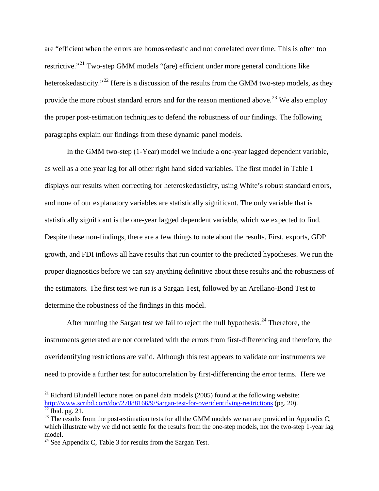are "efficient when the errors are homoskedastic and not correlated over time. This is often too restrictive."<sup>[21](#page-22-0)</sup> Two-step GMM models "(are) efficient under more general conditions like heteroskedasticity."<sup>[22](#page-22-1)</sup> Here is a discussion of the results from the GMM two-step models, as they provide the more robust standard errors and for the reason mentioned above.<sup>[23](#page-22-2)</sup> We also employ the proper post-estimation techniques to defend the robustness of our findings. The following paragraphs explain our findings from these dynamic panel models.

In the GMM two-step (1-Year) model we include a one-year lagged dependent variable, as well as a one year lag for all other right hand sided variables. The first model in Table 1 displays our results when correcting for heteroskedasticity, using White's robust standard errors, and none of our explanatory variables are statistically significant. The only variable that is statistically significant is the one-year lagged dependent variable, which we expected to find. Despite these non-findings, there are a few things to note about the results. First, exports, GDP growth, and FDI inflows all have results that run counter to the predicted hypotheses. We run the proper diagnostics before we can say anything definitive about these results and the robustness of the estimators. The first test we run is a Sargan Test, followed by an Arellano-Bond Test to determine the robustness of the findings in this model.

After running the Sargan test we fail to reject the null hypothesis.<sup>[24](#page-22-3)</sup> Therefore, the instruments generated are not correlated with the errors from first-differencing and therefore, the overidentifying restrictions are valid. Although this test appears to validate our instruments we need to provide a further test for autocorrelation by first-differencing the error terms. Here we

<span id="page-22-0"></span> $21$  Richard Blundell lecture notes on panel data models (2005) found at the following website: <http://www.scribd.com/doc/27088166/9/Sargan-test-for-overidentifying-restrictions> (pg. 20).  $\overline{^{22}$  Ibid. pg. 21.

<span id="page-22-2"></span><span id="page-22-1"></span> $^{23}$  The results from the post-estimation tests for all the GMM models we ran are provided in Appendix C, which illustrate why we did not settle for the results from the one-step models, nor the two-step 1-year lag model.

<span id="page-22-3"></span> $24$  See Appendix C, Table 3 for results from the Sargan Test.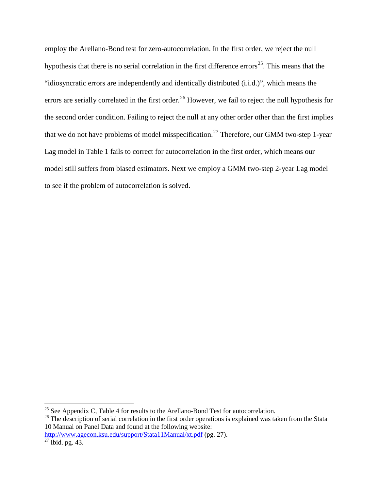employ the Arellano-Bond test for zero-autocorrelation. In the first order, we reject the null hypothesis that there is no serial correlation in the first difference errors<sup>25</sup>. This means that the "idiosyncratic errors are independently and identically distributed (i.i.d.)", which means the errors are serially correlated in the first order.<sup>[26](#page-23-1)</sup> However, we fail to reject the null hypothesis for the second order condition. Failing to reject the null at any other order other than the first implies that we do not have problems of model misspecification.<sup>[27](#page-23-2)</sup> Therefore, our GMM two-step 1-year Lag model in Table 1 fails to correct for autocorrelation in the first order, which means our model still suffers from biased estimators. Next we employ a GMM two-step 2-year Lag model to see if the problem of autocorrelation is solved.

<span id="page-23-0"></span><sup>&</sup>lt;sup>25</sup> See Appendix C, Table 4 for results to the Arellano-Bond Test for autocorrelation.

<span id="page-23-1"></span><sup>&</sup>lt;sup>26</sup> The description of serial correlation in the first order operations is explained was taken from the Stata 10 Manual on Panel Data and found at the following website:

<http://www.agecon.ksu.edu/support/Stata11Manual/xt.pdf> (pg. 27).

<span id="page-23-2"></span> $^{27}$  Ibid. pg. 43.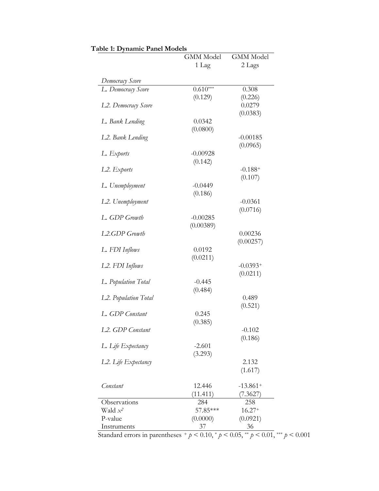|                                  | <b>GMM</b> Model | <b>GMM</b> Model |
|----------------------------------|------------------|------------------|
|                                  | 1 Lag            | 2 Lags           |
| Democracy Score                  |                  |                  |
| L. Democracy Score               | $0.610***$       | 0.308            |
|                                  | (0.129)          | (0.226)          |
| L <sub>2</sub> . Democracy Score |                  | 0.0279           |
|                                  |                  | (0.0383)         |
| L. Bank Lending                  | 0.0342           |                  |
|                                  | (0.0800)         |                  |
| L2. Bank Lending                 |                  | $-0.00185$       |
|                                  |                  | (0.0965)         |
| L. Exports                       | $-0.00928$       |                  |
|                                  | (0.142)          |                  |
| L2. Exports                      |                  | $-0.188+$        |
|                                  |                  | (0.107)          |
| L. Unemployment                  | $-0.0449$        |                  |
|                                  | (0.186)          |                  |
| L2. Unemployment                 |                  | $-0.0361$        |
|                                  |                  | (0.0716)         |
| L. GDP Growth                    | $-0.00285$       |                  |
|                                  | (0.00389)        |                  |
| L <sub>2</sub> .GDP Growth       |                  | 0.00236          |
|                                  |                  | (0.00257)        |
| L. FDI Inflows                   | 0.0192           |                  |
|                                  | (0.0211)         |                  |
| L <sub>2</sub> . FDI Inflows     |                  | $-0.0393+$       |
|                                  |                  | (0.0211)         |
| L. Population Total              | $-0.445$         |                  |
|                                  | (0.484)          |                  |
| L2. Population Total             |                  | 0.489            |
| L. GDP Constant                  | 0.245            | (0.521)          |
|                                  | (0.385)          |                  |
| L2. GDP Constant                 |                  | $-0.102$         |
|                                  |                  | (0.186)          |
| L. Life Expectancy               | $-2.601$         |                  |
|                                  | (3.293)          |                  |
| L2. Life Expectancy              |                  | 2.132            |
|                                  |                  | (1.617)          |
|                                  |                  |                  |
| Constant                         | 12.446           | $-13.861+$       |
|                                  | (11.411)         | (7.3627)         |
| Observations                     | 284              | 258              |
| Wald $x^2$                       | 57.85***         | $16.27+$         |
| P-value                          | (0.0000)         | (0.0921)         |
| Instruments                      | 37               | 36               |

**Table 1: Dynamic Panel Models**

Standard errors in parentheses + *p* < 0.10, \* *p* < 0.05, \*\* *p* < 0.01, \*\*\* *p* < 0.001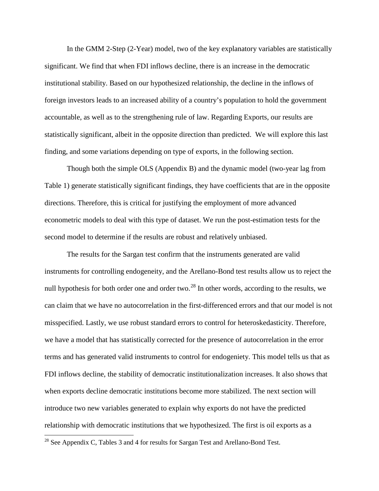In the GMM 2-Step (2-Year) model, two of the key explanatory variables are statistically significant. We find that when FDI inflows decline, there is an increase in the democratic institutional stability. Based on our hypothesized relationship, the decline in the inflows of foreign investors leads to an increased ability of a country's population to hold the government accountable, as well as to the strengthening rule of law. Regarding Exports, our results are statistically significant, albeit in the opposite direction than predicted. We will explore this last finding, and some variations depending on type of exports, in the following section.

Though both the simple OLS (Appendix B) and the dynamic model (two-year lag from Table 1) generate statistically significant findings, they have coefficients that are in the opposite directions. Therefore, this is critical for justifying the employment of more advanced econometric models to deal with this type of dataset. We run the post-estimation tests for the second model to determine if the results are robust and relatively unbiased.

The results for the Sargan test confirm that the instruments generated are valid instruments for controlling endogeneity, and the Arellano-Bond test results allow us to reject the null hypothesis for both order one and order two.<sup>[28](#page-25-0)</sup> In other words, according to the results, we can claim that we have no autocorrelation in the first-differenced errors and that our model is not misspecified. Lastly, we use robust standard errors to control for heteroskedasticity. Therefore, we have a model that has statistically corrected for the presence of autocorrelation in the error terms and has generated valid instruments to control for endogeniety. This model tells us that as FDI inflows decline, the stability of democratic institutionalization increases. It also shows that when exports decline democratic institutions become more stabilized. The next section will introduce two new variables generated to explain why exports do not have the predicted relationship with democratic institutions that we hypothesized. The first is oil exports as a

<span id="page-25-0"></span><sup>&</sup>lt;sup>28</sup> See Appendix C, Tables 3 and 4 for results for Sargan Test and Arellano-Bond Test.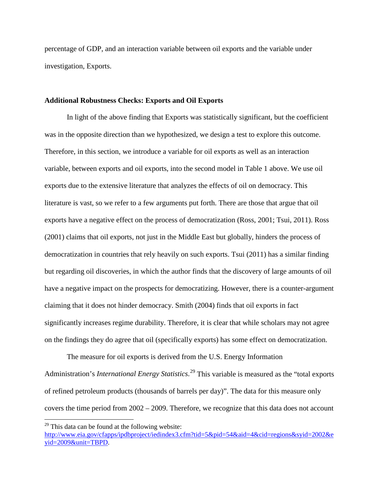percentage of GDP, and an interaction variable between oil exports and the variable under investigation, Exports.

### **Additional Robustness Checks: Exports and Oil Exports**

In light of the above finding that Exports was statistically significant, but the coefficient was in the opposite direction than we hypothesized, we design a test to explore this outcome. Therefore, in this section, we introduce a variable for oil exports as well as an interaction variable, between exports and oil exports, into the second model in Table 1 above. We use oil exports due to the extensive literature that analyzes the effects of oil on democracy. This literature is vast, so we refer to a few arguments put forth. There are those that argue that oil exports have a negative effect on the process of democratization (Ross, 2001; Tsui, 2011). Ross (2001) claims that oil exports, not just in the Middle East but globally, hinders the process of democratization in countries that rely heavily on such exports. Tsui (2011) has a similar finding but regarding oil discoveries, in which the author finds that the discovery of large amounts of oil have a negative impact on the prospects for democratizing. However, there is a counter-argument claiming that it does not hinder democracy. Smith (2004) finds that oil exports in fact significantly increases regime durability. Therefore, it is clear that while scholars may not agree on the findings they do agree that oil (specifically exports) has some effect on democratization.

The measure for oil exports is derived from the U.S. Energy Information Administration's *International Energy Statistics*. [29](#page-26-0) This variable is measured as the "total exports of refined petroleum products (thousands of barrels per day)". The data for this measure only covers the time period from 2002 – 2009. Therefore, we recognize that this data does not account

<span id="page-26-0"></span> $29$  This data can be found at the following website:

[http://www.eia.gov/cfapps/ipdbproject/iedindex3.cfm?tid=5&pid=54&aid=4&cid=regions&syid=2002&e](http://www.eia.gov/cfapps/ipdbproject/iedindex3.cfm?tid=5&pid=54&aid=4&cid=regions&syid=2002&eyid=2009&unit=TBPD) [yid=2009&unit=TBPD.](http://www.eia.gov/cfapps/ipdbproject/iedindex3.cfm?tid=5&pid=54&aid=4&cid=regions&syid=2002&eyid=2009&unit=TBPD)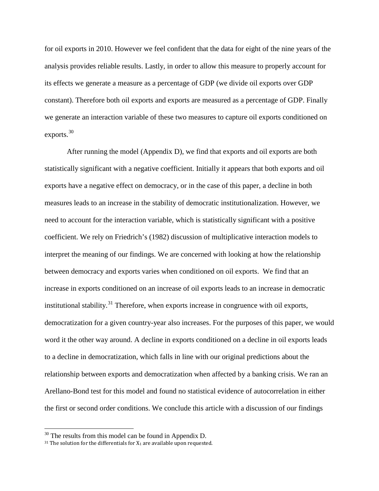for oil exports in 2010. However we feel confident that the data for eight of the nine years of the analysis provides reliable results. Lastly, in order to allow this measure to properly account for its effects we generate a measure as a percentage of GDP (we divide oil exports over GDP constant). Therefore both oil exports and exports are measured as a percentage of GDP. Finally we generate an interaction variable of these two measures to capture oil exports conditioned on exports.<sup>[30](#page-27-0)</sup>

After running the model (Appendix D), we find that exports and oil exports are both statistically significant with a negative coefficient. Initially it appears that both exports and oil exports have a negative effect on democracy, or in the case of this paper, a decline in both measures leads to an increase in the stability of democratic institutionalization. However, we need to account for the interaction variable, which is statistically significant with a positive coefficient. We rely on Friedrich's (1982) discussion of multiplicative interaction models to interpret the meaning of our findings. We are concerned with looking at how the relationship between democracy and exports varies when conditioned on oil exports. We find that an increase in exports conditioned on an increase of oil exports leads to an increase in democratic institutional stability.<sup>[31](#page-27-1)</sup> Therefore, when exports increase in congruence with oil exports, democratization for a given country-year also increases. For the purposes of this paper, we would word it the other way around. A decline in exports conditioned on a decline in oil exports leads to a decline in democratization, which falls in line with our original predictions about the relationship between exports and democratization when affected by a banking crisis. We ran an Arellano-Bond test for this model and found no statistical evidence of autocorrelation in either the first or second order conditions. We conclude this article with a discussion of our findings

<span id="page-27-0"></span> $30$  The results from this model can be found in Appendix D.

<span id="page-27-1"></span><sup>&</sup>lt;sup>31</sup> The solution for the differentials for  $X_1$  are available upon requested.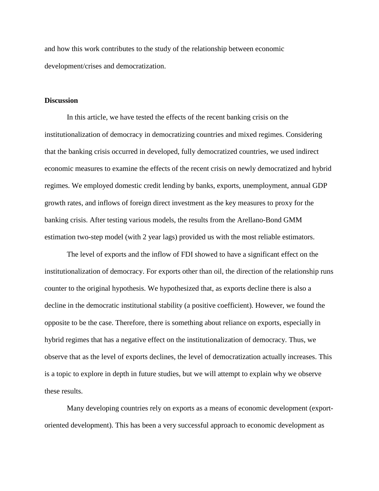and how this work contributes to the study of the relationship between economic development/crises and democratization.

#### **Discussion**

In this article, we have tested the effects of the recent banking crisis on the institutionalization of democracy in democratizing countries and mixed regimes. Considering that the banking crisis occurred in developed, fully democratized countries, we used indirect economic measures to examine the effects of the recent crisis on newly democratized and hybrid regimes. We employed domestic credit lending by banks, exports, unemployment, annual GDP growth rates, and inflows of foreign direct investment as the key measures to proxy for the banking crisis. After testing various models, the results from the Arellano-Bond GMM estimation two-step model (with 2 year lags) provided us with the most reliable estimators.

The level of exports and the inflow of FDI showed to have a significant effect on the institutionalization of democracy. For exports other than oil, the direction of the relationship runs counter to the original hypothesis. We hypothesized that, as exports decline there is also a decline in the democratic institutional stability (a positive coefficient). However, we found the opposite to be the case. Therefore, there is something about reliance on exports, especially in hybrid regimes that has a negative effect on the institutionalization of democracy. Thus, we observe that as the level of exports declines, the level of democratization actually increases. This is a topic to explore in depth in future studies, but we will attempt to explain why we observe these results.

Many developing countries rely on exports as a means of economic development (exportoriented development). This has been a very successful approach to economic development as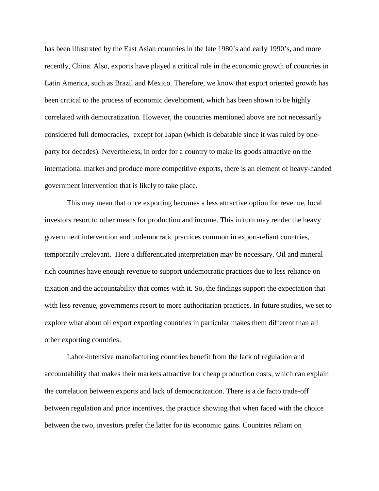has been illustrated by the East Asian countries in the late 1980's and early 1990's, and more recently, China. Also, exports have played a critical role in the economic growth of countries in Latin America, such as Brazil and Mexico. Therefore, we know that export oriented growth has been critical to the process of economic development, which has been shown to be highly correlated with democratization. However, the countries mentioned above are not necessarily considered full democracies, except for Japan (which is debatable since it was ruled by oneparty for decades). Nevertheless, in order for a country to make its goods attractive on the international market and produce more competitive exports, there is an element of heavy-handed government intervention that is likely to take place.

This may mean that once exporting becomes a less attractive option for revenue, local investors resort to other means for production and income. This in turn may render the heavy government intervention and undemocratic practices common in export-reliant countries, temporarily irrelevant. Here a differentiated interpretation may be necessary. Oil and mineral rich countries have enough revenue to support undemocratic practices due to less reliance on taxation and the accountability that comes with it. So, the findings support the expectation that with less revenue, governments resort to more authoritarian practices. In future studies, we set to explore what about oil export exporting countries in particular makes them different than all other exporting countries.

Labor-intensive manufacturing countries benefit from the lack of regulation and accountability that makes their markets attractive for cheap production costs, which can explain the correlation between exports and lack of democratization. There is a de facto trade-off between regulation and price incentives, the practice showing that when faced with the choice between the two, investors prefer the latter for its economic gains. Countries reliant on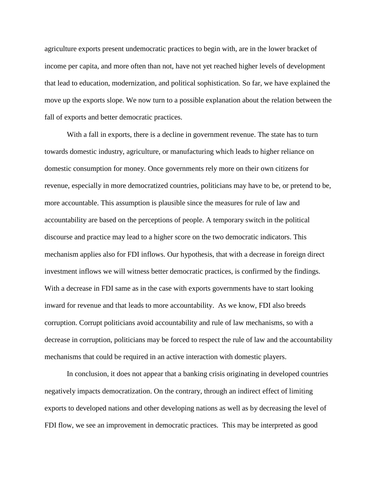agriculture exports present undemocratic practices to begin with, are in the lower bracket of income per capita, and more often than not, have not yet reached higher levels of development that lead to education, modernization, and political sophistication. So far, we have explained the move up the exports slope. We now turn to a possible explanation about the relation between the fall of exports and better democratic practices.

With a fall in exports, there is a decline in government revenue. The state has to turn towards domestic industry, agriculture, or manufacturing which leads to higher reliance on domestic consumption for money. Once governments rely more on their own citizens for revenue, especially in more democratized countries, politicians may have to be, or pretend to be, more accountable. This assumption is plausible since the measures for rule of law and accountability are based on the perceptions of people. A temporary switch in the political discourse and practice may lead to a higher score on the two democratic indicators. This mechanism applies also for FDI inflows. Our hypothesis, that with a decrease in foreign direct investment inflows we will witness better democratic practices, is confirmed by the findings. With a decrease in FDI same as in the case with exports governments have to start looking inward for revenue and that leads to more accountability. As we know, FDI also breeds corruption. Corrupt politicians avoid accountability and rule of law mechanisms, so with a decrease in corruption, politicians may be forced to respect the rule of law and the accountability mechanisms that could be required in an active interaction with domestic players.

In conclusion, it does not appear that a banking crisis originating in developed countries negatively impacts democratization. On the contrary, through an indirect effect of limiting exports to developed nations and other developing nations as well as by decreasing the level of FDI flow, we see an improvement in democratic practices. This may be interpreted as good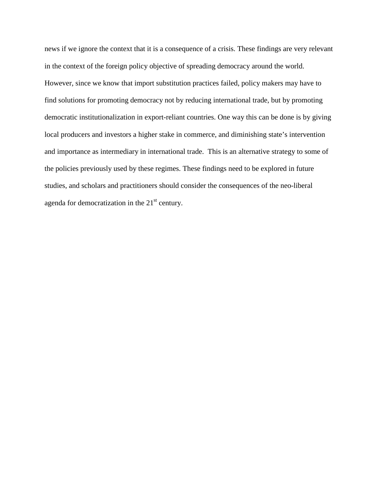news if we ignore the context that it is a consequence of a crisis. These findings are very relevant in the context of the foreign policy objective of spreading democracy around the world. However, since we know that import substitution practices failed, policy makers may have to find solutions for promoting democracy not by reducing international trade, but by promoting democratic institutionalization in export-reliant countries. One way this can be done is by giving local producers and investors a higher stake in commerce, and diminishing state's intervention and importance as intermediary in international trade. This is an alternative strategy to some of the policies previously used by these regimes. These findings need to be explored in future studies, and scholars and practitioners should consider the consequences of the neo-liberal agenda for democratization in the  $21<sup>st</sup>$  century.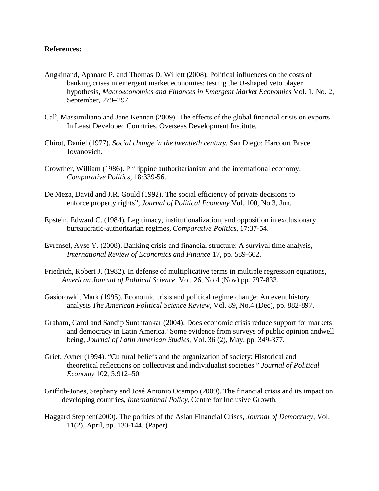## **References:**

- Angkinand, Apanard P. and Thomas D. Willett (2008). Political influences on the costs of banking crises in emergent market economies: testing the U-shaped veto player hypothesis, *Macroeconomics and Finances in Emergent Market Economies* Vol. 1, No. 2, September, 279–297.
- Calì, Massimiliano and Jane Kennan (2009). The effects of the global financial crisis on exports In Least Developed Countries, Overseas Development Institute.
- Chirot, Daniel (1977). *Social change in the twentieth century.* San Diego: Harcourt Brace Jovanovich.
- Crowther, William (1986). Philippine authoritarianism and the international economy. *Comparative Politics,* 18:339-56.
- De Meza, David and J.R. Gould (1992). The social efficiency of private decisions to enforce property rights", *Journal of Political Economy* Vol. 100, No 3, Jun.
- Epstein, Edward C. (1984). Legitimacy, institutionalization, and opposition in exclusionary bureaucratic-authoritarian regimes, *Comparative Politics,* 17:37-54.
- Evrensel, Ayse Y. (2008). Banking crisis and financial structure: A survival time analysis, *International Review of Economics and Finance* 17, pp. 589-602.
- Friedrich, Robert J. (1982). In defense of multiplicative terms in multiple regression equations, *American Journal of Political Science,* Vol. 26, No.4 (Nov) pp. 797-833.
- Gasiorowki, Mark (1995). Economic crisis and political regime change: An event history analysis *The American Political Science Review,* Vol. 89, No.4 (Dec), pp. 882-897.
- Graham, Carol and Sandip Sunthtankar (2004). Does economic crisis reduce support for markets and democracy in Latin America? Some evidence from surveys of public opinion andwell being, *Journal of Latin American Studies,* Vol. 36 (2), May, pp. 349-377.
- Grief, Avner (1994). "Cultural beliefs and the organization of society: Historical and theoretical reflections on collectivist and individualist societies." *Journal of Political Economy* 102, 5:912–50.
- Griffith-Jones, Stephany and José Antonio Ocampo (2009). The financial crisis and its impact on developing countries, *International Policy,* Centre for Inclusive Growth*.*
- Haggard Stephen(2000). The politics of the Asian Financial Crises, *Journal of Democracy*, Vol. 11(2), April, pp. 130-144. (Paper)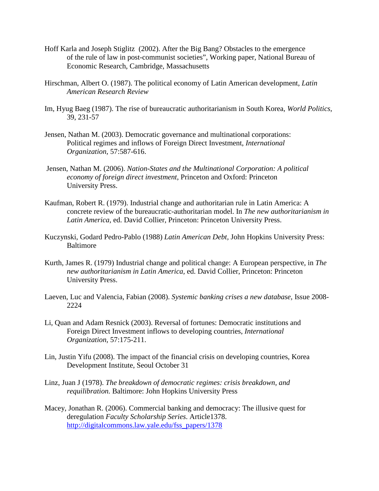- Hoff Karla and Joseph Stiglitz (2002). After the Big Bang? Obstacles to the emergence of the rule of law in post-communist societies", Working paper, National Bureau of Economic Research, Cambridge, Massachusetts
- Hirschman, Albert O. (1987). The political economy of Latin American development, *Latin American Research Review*
- Im, Hyug Baeg (1987). The rise of bureaucratic authoritarianism in South Korea, *World Politics,*  39, 231-57
- Jensen, Nathan M. (2003). Democratic governance and multinational corporations: Political regimes and inflows of Foreign Direct Investment, *International Organization,* 57:587-616.
- Jensen, Nathan M. (2006). *Nation-States and the Multinational Corporation: A political economy of foreign direct investment*, Princeton and Oxford: Princeton University Press.
- Kaufman, Robert R. (1979). Industrial change and authoritarian rule in Latin America: A concrete review of the bureaucratic-authoritarian model. In *The new authoritarianism in Latin America,* ed. David Collier, Princeton: Princeton University Press.
- Kuczynski, Godard Pedro-Pablo (1988) *Latin American Debt,* John Hopkins University Press: Baltimore
- Kurth, James R. (1979) Industrial change and political change: A European perspective, in *The new authoritarianism in Latin America,* ed. David Collier, Princeton: Princeton University Press.
- Laeven, Luc and Valencia, Fabian (2008). *Systemic banking crises a new database,* Issue 2008- 2224
- Li, Quan and Adam Resnick (2003). Reversal of fortunes: Democratic institutions and Foreign Direct Investment inflows to developing countries, *International Organization,* 57:175-211.
- Lin, Justin Yifu (2008). The impact of the financial crisis on developing countries, Korea Development Institute, Seoul October 31
- Linz, Juan J (1978). *The breakdown of democratic regimes: crisis breakdown, and requilibration.* Baltimore: John Hopkins University Press
- Macey, Jonathan R. (2006). Commercial banking and democracy: The illusive quest for deregulation *Faculty Scholarship Series*. Article1378. [http://digitalcommons.law.yale.edu/fss\\_papers/1378](http://digitalcommons.law.yale.edu/fss_papers/1378)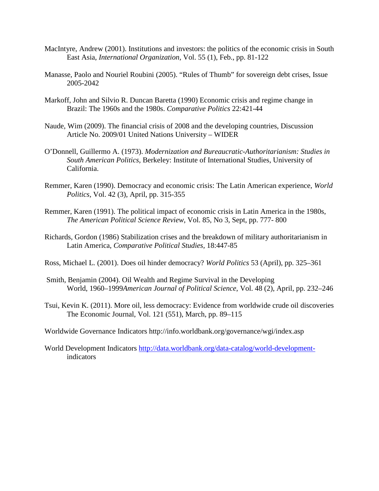- MacIntyre, Andrew (2001). Institutions and investors: the politics of the economic crisis in South East Asia, *International Organization,* Vol. 55 (1), Feb., pp. 81-122
- Manasse, Paolo and Nouriel Roubini (2005). "Rules of Thumb" for sovereign debt crises, Issue 2005-2042
- Markoff, John and Silvio R. Duncan Baretta (1990) Economic crisis and regime change in Brazil: The 1960s and the 1980s. *Comparative Politics* 22:421-44
- Naude, Wim (2009). The financial crisis of 2008 and the developing countries, Discussion Article No. 2009/01 United Nations University – WIDER
- O'Donnell, Guillermo A. (1973). *Modernization and Bureaucratic-Authoritarianism: Studies in South American Politics,* Berkeley: Institute of International Studies, University of California.
- Remmer, Karen (1990). Democracy and economic crisis: The Latin American experience, *World Politics,* Vol. 42 (3), April, pp. 315-355
- Remmer, Karen (1991). The political impact of economic crisis in Latin America in the 1980s, *The American Political Science Review*, Vol. 85, No 3, Sept, pp. 777- 800
- Richards, Gordon (1986) Stabilization crises and the breakdown of military authoritarianism in Latin America, *Comparative Political Studies,* 18:447-85
- Ross, Michael L. (2001). Does oil hinder democracy? *World Politics* 53 (April), pp. 325–361
- Smith, Benjamin (2004). Oil Wealth and Regime Survival in the Developing World, 1960–1999*American Journal of Political Science*, Vol. 48 (2), April, pp. 232–246
- Tsui, Kevin K. (2011). More oil, less democracy: Evidence from worldwide crude oil discoveries The Economic Journal, Vol. 121 (551), March, pp. 89–115
- Worldwide Governance Indicators http://info.worldbank.org/governance/wgi/index.asp
- World Development Indicators [http://data.worldbank.org/data-catalog/world-development](http://data.worldbank.org/data-catalog/world-development-)indicators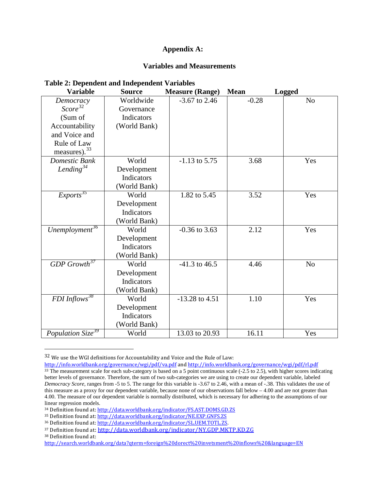## **Appendix A:**

## **Variables and Measurements**

| <b>Variable</b>                   | <b>Source</b>           | <b>Measure (Range)</b> | <b>Mean</b> | <b>Logged</b>  |
|-----------------------------------|-------------------------|------------------------|-------------|----------------|
| Democracy<br>Score <sup>32</sup>  | Worldwide<br>Governance | $-3.67$ to 2.46        | $-0.28$     | N <sub>o</sub> |
| (Sum of                           | Indicators              |                        |             |                |
| Accountability                    | (World Bank)            |                        |             |                |
| and Voice and                     |                         |                        |             |                |
| Rule of Law                       |                         |                        |             |                |
| measures). $33$                   |                         |                        |             |                |
| Domestic Bank                     | World                   | $-1.13$ to 5.75        | 3.68        | Yes            |
| Lending $34$                      | Development             |                        |             |                |
|                                   | Indicators              |                        |             |                |
|                                   | (World Bank)            |                        |             |                |
| Exports <sup>35</sup>             | World                   | 1.82 to 5.45           | 3.52        | Yes            |
|                                   | Development             |                        |             |                |
|                                   | Indicators              |                        |             |                |
|                                   | (World Bank)            |                        |             |                |
| Unemployment <sup>36</sup>        | World                   | $-0.36$ to 3.63        | 2.12        | Yes            |
|                                   | Development             |                        |             |                |
|                                   | Indicators              |                        |             |                |
|                                   | (World Bank)            |                        |             |                |
| $GDP$ $Growth^{37}$               | World                   | $-41.3$ to $46.5$      | 4.46        | N <sub>o</sub> |
|                                   | Development             |                        |             |                |
|                                   | Indicators              |                        |             |                |
|                                   | (World Bank)            |                        |             |                |
| FDI Inflows <sup>38</sup>         | World                   | $-13.28$ to $4.51$     | 1.10        | Yes            |
|                                   | Development             |                        |             |                |
|                                   | Indicators              |                        |             |                |
|                                   | (World Bank)            |                        |             |                |
| Population $\overline{Size}^{39}$ | World                   | 13.03 to 20.93         | 16.11       | Yes            |

## **Table 2: Dependent and Independent Variables**

<span id="page-35-0"></span> <sup>32</sup> We use the WGI definitions for Accountability and Voice and the Rule of Law:

<span id="page-35-1"></span><http://info.worldbank.org/governance/wgi/pdf/va.pdf> an[d http://info.worldbank.org/governance/wgi/pdf/rl.pdf](http://info.worldbank.org/governance/wgi/pdf/rl.pdf)  $33$  The measurement scale for each sub-category is based on a 5 point continuous scale (-2.5 to 2.5), with higher scores indicating better levels of governance. Therefore, the sum of two sub-categories we are using to create our dependent variable, labeled *Democracy Score,* ranges from -5 to 5. The range for this variable is -3.67 to 2.46, with a mean of -.38. This validates the use of this measure as a proxy for our dependent variable, because none of our observations fall below  $-4.00$  and are not greater than 4.00. The measure of our dependent variable is normally distributed, which is necessary for adhering to the assumptions of our linear regression models.

<span id="page-35-7"></span><span id="page-35-2"></span><sup>34</sup> Definition found at[: http://data.worldbank.org/indicator/FS.AST.DOMS.GD.ZS](http://data.worldbank.org/indicator/FS.AST.DOMS.GD.ZS)

<span id="page-35-3"></span><sup>35</sup> Definition found at[: http://data.worldbank.org/indicator/NE.EXP.GNFS.ZS](http://data.worldbank.org/indicator/NE.EXP.GNFS.ZS)

<span id="page-35-4"></span><sup>36</sup> Definition found at[: http://data.worldbank.org/indicator/SL.UEM.TOTL.ZS.](http://data.worldbank.org/indicator/SL.UEM.TOTL.ZS)

<span id="page-35-5"></span><sup>37</sup> Definition found at:<http://data.worldbank.org/indicator/NY.GDP.MKTP.KD.ZG>

<span id="page-35-6"></span><sup>38</sup> Definition found at:

<http://search.worldbank.org/data?qterm=foreign%20dorect%20invetsment%20inflows%20&language=EN>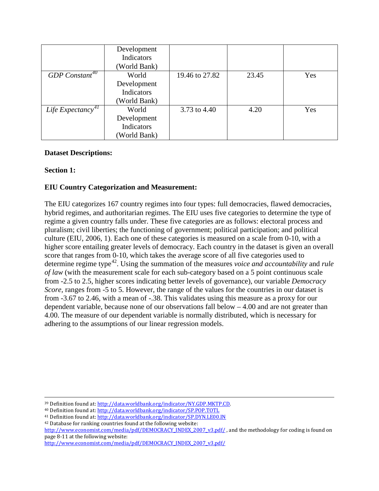|                               | Development  |                |       |     |
|-------------------------------|--------------|----------------|-------|-----|
|                               | Indicators   |                |       |     |
|                               | (World Bank) |                |       |     |
| GDP Constant <sup>40</sup>    | World        | 19.46 to 27.82 | 23.45 | Yes |
|                               | Development  |                |       |     |
|                               | Indicators   |                |       |     |
|                               | (World Bank) |                |       |     |
| Life Expectancy <sup>41</sup> | World        | 3.73 to 4.40   | 4.20  | Yes |
|                               | Development  |                |       |     |
|                               | Indicators   |                |       |     |
|                               | (World Bank) |                |       |     |

## **Dataset Descriptions:**

## **Section 1:**

# **EIU Country Categorization and Measurement:**

The EIU categorizes 167 country regimes into four types: full democracies, flawed democracies, hybrid regimes, and authoritarian regimes. The EIU uses five categories to determine the type of regime a given country falls under. These five categories are as follows: electoral process and pluralism; civil liberties; the functioning of government; political participation; and political culture (EIU, 2006, 1). Each one of these categories is measured on a scale from 0-10, with a higher score entailing greater levels of democracy. Each country in the dataset is given an overall score that ranges from 0-10, which takes the average score of all five categories used to determine regime type[42.](#page-36-2) Using the summation of the measures *voice and accountability* and *rule of law* (with the measurement scale for each sub-category based on a 5 point continuous scale from -2.5 to 2.5, higher scores indicating better levels of governance), our variable *Democracy Score,* ranges from -5 to 5. However, the range of the values for the countries in our dataset is from -3.67 to 2.46, with a mean of -.38. This validates using this measure as a proxy for our dependent variable, because none of our observations fall below – 4.00 and are not greater than 4.00. The measure of our dependent variable is normally distributed, which is necessary for adhering to the assumptions of our linear regression models.

<span id="page-36-1"></span><span id="page-36-0"></span><sup>41</sup> Definition found at[: http://data.worldbank.org/indicator/SP.DYN.LE00.IN](http://data.worldbank.org/indicator/SP.DYN.LE00.IN)

<sup>39</sup> Definition found at[: http://data.worldbank.org/indicator/NY.GDP.MKTP.CD.](http://data.worldbank.org/indicator/NY.GDP.MKTP.CD) 40 Definition found at: http://data.worldbank.org/indicator/SP.POP.TOTL

<span id="page-36-2"></span><sup>42</sup> Database for ranking countries found at the following website:

[http://www.economist.com/media/pdf/DEMOCRACY\\_INDEX\\_2007\\_v3.pdf/](http://www.economist.com/media/pdf/DEMOCRACY_INDEX_2007_v3.pdf/), and the methodology for coding is found on page 8-11 at the following website:

[http://www.economist.com/media/pdf/DEMOCRACY\\_INDEX\\_2007\\_v3.pdf/](http://www.economist.com/media/pdf/DEMOCRACY_INDEX_2007_v3.pdf/)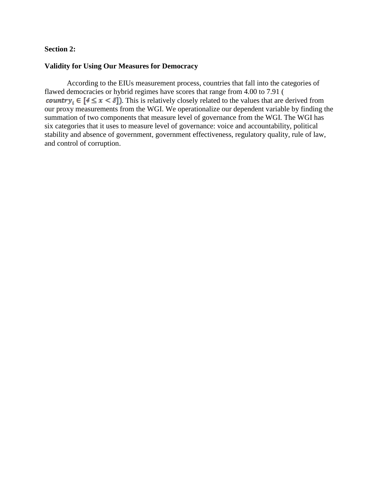## **Section 2:**

## **Validity for Using Our Measures for Democracy**

According to the EIUs measurement process, countries that fall into the categories of flawed democracies or hybrid regimes have scores that range from 4.00 to 7.91 ( **country**<sub>i</sub>  $\in$   $[4 \le x < 8]$ ). This is relatively closely related to the values that are derived from our proxy measurements from the WGI. We operationalize our dependent variable by finding the summation of two components that measure level of governance from the WGI. The WGI has six categories that it uses to measure level of governance: voice and accountability, political stability and absence of government, government effectiveness, regulatory quality, rule of law, and control of corruption.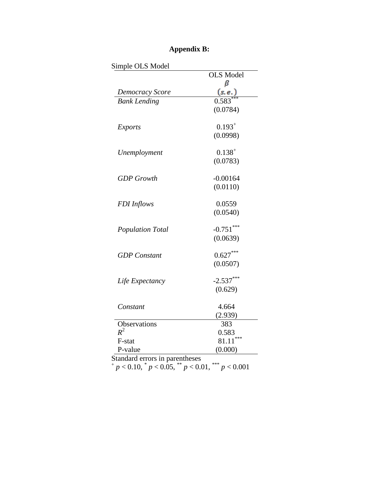|                         | <b>OLS</b> Model |
|-------------------------|------------------|
|                         | ß                |
| Democracy Score         | (s.e.)           |
| <b>Bank Lending</b>     | 0.583            |
|                         | (0.0784)         |
| <b>Exports</b>          | $0.193^{+}$      |
|                         | (0.0998)         |
| Unemployment            | $0.138^{+}$      |
|                         | (0.0783)         |
| <b>GDP</b> Growth       | $-0.00164$       |
|                         | (0.0110)         |
| <b>FDI</b> Inflows      | 0.0559           |
|                         | (0.0540)         |
| <b>Population Total</b> | $-0.751***$      |
|                         | (0.0639)         |
| <b>GDP</b> Constant     | $0.627***$       |
|                         | (0.0507)         |
| Life Expectancy         | $-2.537***$      |
|                         | (0.629)          |
| Constant                | 4.664            |
|                         | (2.939)          |
| Observations            | 383              |
| $R^2$                   | 0.583            |
| F-stat                  | ***<br>81.11     |
| P-value                 | (0.000)          |

# **Appendix B:**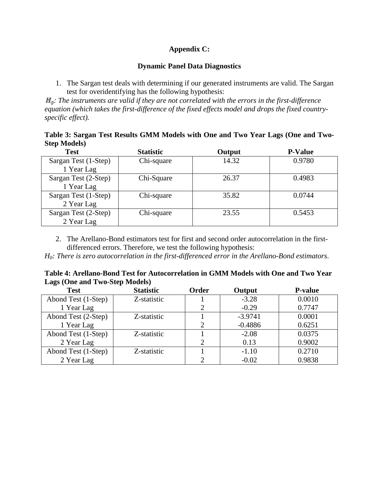# **Appendix C:**

## **Dynamic Panel Data Diagnostics**

1. The Sargan test deals with determining if our generated instruments are valid. The Sargan test for overidentifying has the following hypothesis:

 $H_{\rm a}$ : The instruments are valid if they are not correlated with the errors in the first-difference *equation (which takes the first-difference of the fixed effects model and drops the fixed countryspecific effect).*

**Table 3: Sargan Test Results GMM Models with One and Two Year Lags (One and Two-Step Models)**

| <b>Test</b>          | <b>Statistic</b> | Output | <b>P-Value</b> |
|----------------------|------------------|--------|----------------|
| Sargan Test (1-Step) | Chi-square       | 14.32  | 0.9780         |
| 1 Year Lag           |                  |        |                |
| Sargan Test (2-Step) | Chi-Square       | 26.37  | 0.4983         |
| 1 Year Lag           |                  |        |                |
| Sargan Test (1-Step) | Chi-square       | 35.82  | 0.0744         |
| 2 Year Lag           |                  |        |                |
| Sargan Test (2-Step) | Chi-square       | 23.55  | 0.5453         |
| 2 Year Lag           |                  |        |                |

2. The Arellano-Bond estimators test for first and second order autocorrelation in the firstdifferenced errors. Therefore, we test the following hypothesis:

*H0: There is zero autocorrelation in the first-differenced error in the Arellano-Bond estimators*.

|                                       | Table 4: Arellano-Bond Test for Autocorrelation in GMM Models with One and Two Year |
|---------------------------------------|-------------------------------------------------------------------------------------|
| <b>Lags (One and Two-Step Models)</b> |                                                                                     |

| <b>Test</b>         | <b>Statistic</b> | <b>Order</b> | Output    | <b>P-value</b> |
|---------------------|------------------|--------------|-----------|----------------|
| Abond Test (1-Step) | Z-statistic      |              | $-3.28$   | 0.0010         |
| 1 Year Lag          |                  |              | $-0.29$   | 0.7747         |
| Abond Test (2-Step) | Z-statistic      |              | $-3.9741$ | 0.0001         |
| 1 Year Lag          |                  | ↑            | $-0.4886$ | 0.6251         |
| Abond Test (1-Step) | Z-statistic      |              | $-2.08$   | 0.0375         |
| 2 Year Lag          |                  |              | 0.13      | 0.9002         |
| Abond Test (1-Step) | Z-statistic      |              | $-1.10$   | 0.2710         |
| 2 Year Lag          |                  |              | $-0.02$   | 0.9838         |